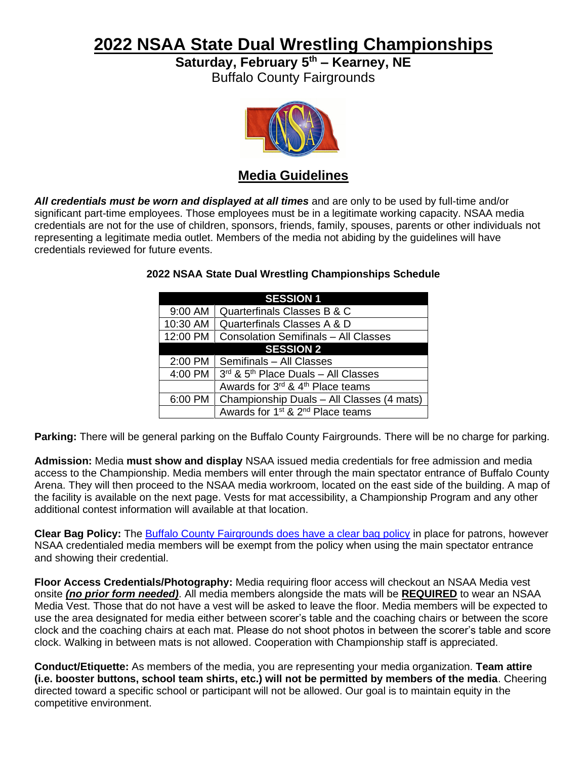# **2022 NSAA State Dual Wrestling Championships**

**Saturday, February 5 th – Kearney, NE**

Buffalo County Fairgrounds



### **Media Guidelines**

*All credentials must be worn and displayed at all times* and are only to be used by full-time and/or significant part-time employees. Those employees must be in a legitimate working capacity. NSAA media credentials are not for the use of children, sponsors, friends, family, spouses, parents or other individuals not representing a legitimate media outlet. Members of the media not abiding by the guidelines will have credentials reviewed for future events.

|                  | <b>SESSION 1</b>                                         |
|------------------|----------------------------------------------------------|
| 9:00 AM          | Quarterfinals Classes B & C                              |
| 10:30 AM         | Quarterfinals Classes A & D                              |
| 12:00 PM         | <b>Consolation Semifinals - All Classes</b>              |
| <b>SESSION 2</b> |                                                          |
| 2:00 PM          | Semifinals - All Classes                                 |
| 4:00 PM          | $3rd$ & $5th$ Place Duals - All Classes                  |
|                  | Awards for 3rd & 4th Place teams                         |
| 6:00 PM          | Championship Duals - All Classes (4 mats)                |
|                  | Awards for 1 <sup>st</sup> & 2 <sup>nd</sup> Place teams |

#### **2022 NSAA State Dual Wrestling Championships Schedule**

**Parking:** There will be general parking on the Buffalo County Fairgrounds. There will be no charge for parking.

**Admission:** Media **must show and display** NSAA issued media credentials for free admission and media access to the Championship. Media members will enter through the main spectator entrance of Buffalo County Arena. They will then proceed to the NSAA media workroom, located on the east side of the building. A map of the facility is available on the next page. Vests for mat accessibility, a Championship Program and any other additional contest information will available at that location.

**Clear Bag Policy:** The [Buffalo County Fairgrounds does have a clear bag policy](https://nsaa-static.s3.amazonaws.com/textfile/wrest/dualcbp.pdf) in place for patrons, however NSAA credentialed media members will be exempt from the policy when using the main spectator entrance and showing their credential.

**Floor Access Credentials/Photography:** Media requiring floor access will checkout an NSAA Media vest onsite *(no prior form needed)*. All media members alongside the mats will be **REQUIRED** to wear an NSAA Media Vest. Those that do not have a vest will be asked to leave the floor. Media members will be expected to use the area designated for media either between scorer's table and the coaching chairs or between the score clock and the coaching chairs at each mat. Please do not shoot photos in between the scorer's table and score clock. Walking in between mats is not allowed. Cooperation with Championship staff is appreciated.

**Conduct/Etiquette:** As members of the media, you are representing your media organization. **Team attire (i.e. booster buttons, school team shirts, etc.) will not be permitted by members of the media**. Cheering directed toward a specific school or participant will not be allowed. Our goal is to maintain equity in the competitive environment.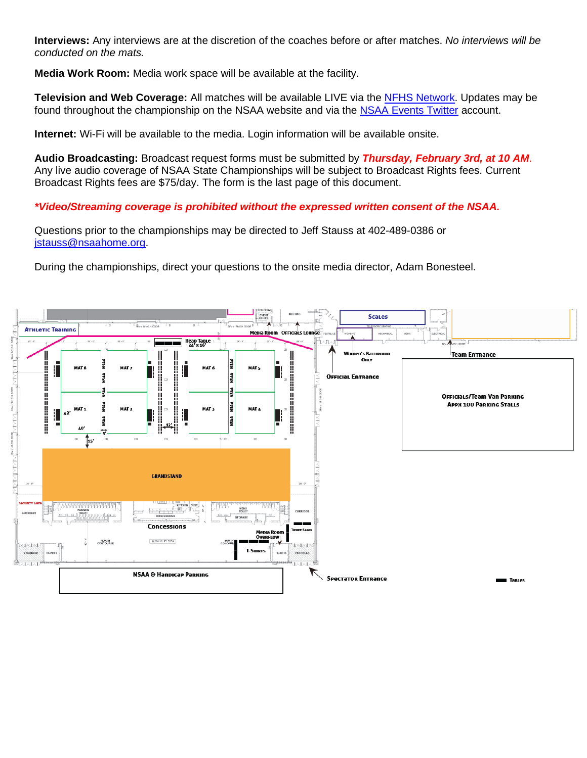**Interviews:** Any interviews are at the discretion of the coaches before or after matches. *No interviews will be conducted on the mats.*

**Media Work Room:** Media work space will be available at the facility.

**Television and Web Coverage:** All matches will be available LIVE via the [NFHS Network.](http://www.nfhsnetwork.com/associations/nsaa) Updates may be found throughout the championship on the NSAA website and via the NSAA [Events](https://twitter.com/nsaaevents) Twitter account.

**Internet:** Wi-Fi will be available to the media. Login information will be available onsite.

**Audio Broadcasting:** Broadcast request forms must be submitted by *Thursday, February 3rd, at 10 AM*. Any live audio coverage of NSAA State Championships will be subject to Broadcast Rights fees. Current Broadcast Rights fees are \$75/day. The form is the last page of this document.

*\*Video/Streaming coverage is prohibited without the expressed written consent of the NSAA.*

Questions prior to the championships may be directed to Jeff Stauss at 402-489-0386 or [jstauss@nsaahome.org.](mailto:jstauss@nsaahome.org)

During the championships, direct your questions to the onsite media director, Adam Bonesteel.